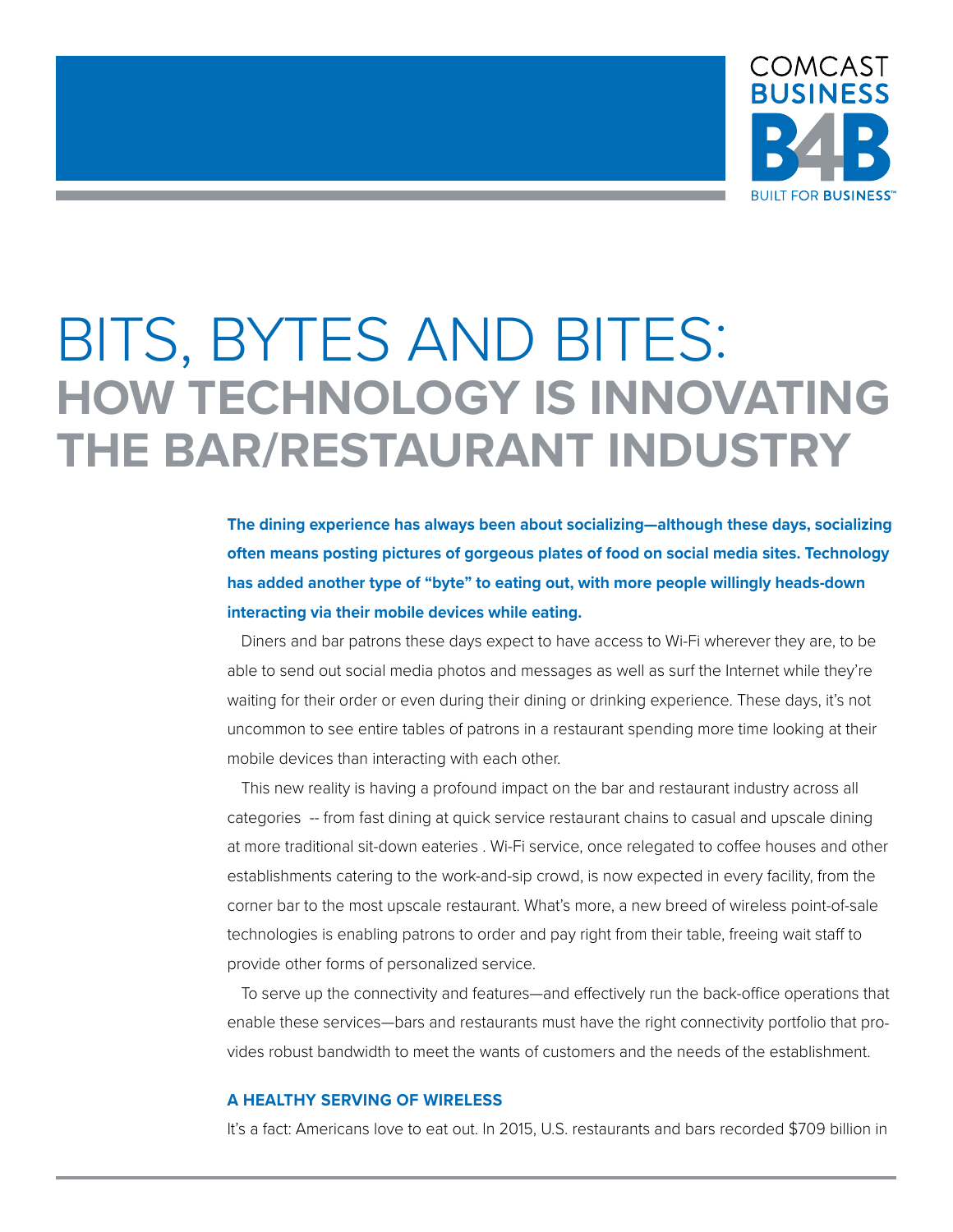

# BITS, BYTES AND BITES: **HOW TECHNOLOGY IS INNOVATING THE BAR/RESTAURANT INDUSTRY**

**The dining experience has always been about socializing—although these days, socializing often means posting pictures of gorgeous plates of food on social media sites. Technology has added another type of "byte" to eating out, with more people willingly heads-down interacting via their mobile devices while eating.**

Diners and bar patrons these days expect to have access to Wi-Fi wherever they are, to be able to send out social media photos and messages as well as surf the Internet while they're waiting for their order or even during their dining or drinking experience. These days, it's not uncommon to see entire tables of patrons in a restaurant spending more time looking at their mobile devices than interacting with each other.

This new reality is having a profound impact on the bar and restaurant industry across all categories -- from fast dining at quick service restaurant chains to casual and upscale dining at more traditional sit-down eateries . Wi-Fi service, once relegated to coffee houses and other establishments catering to the work-and-sip crowd, is now expected in every facility, from the corner bar to the most upscale restaurant. What's more, a new breed of wireless point-of-sale technologies is enabling patrons to order and pay right from their table, freeing wait staff to provide other forms of personalized service.

To serve up the connectivity and features—and effectively run the back-office operations that enable these services—bars and restaurants must have the right connectivity portfolio that provides robust bandwidth to meet the wants of customers and the needs of the establishment.

## **A HEALTHY SERVING OF WIRELESS**

It's a fact: Americans love to eat out. In 2015, U.S. restaurants and bars recorded \$709 billion in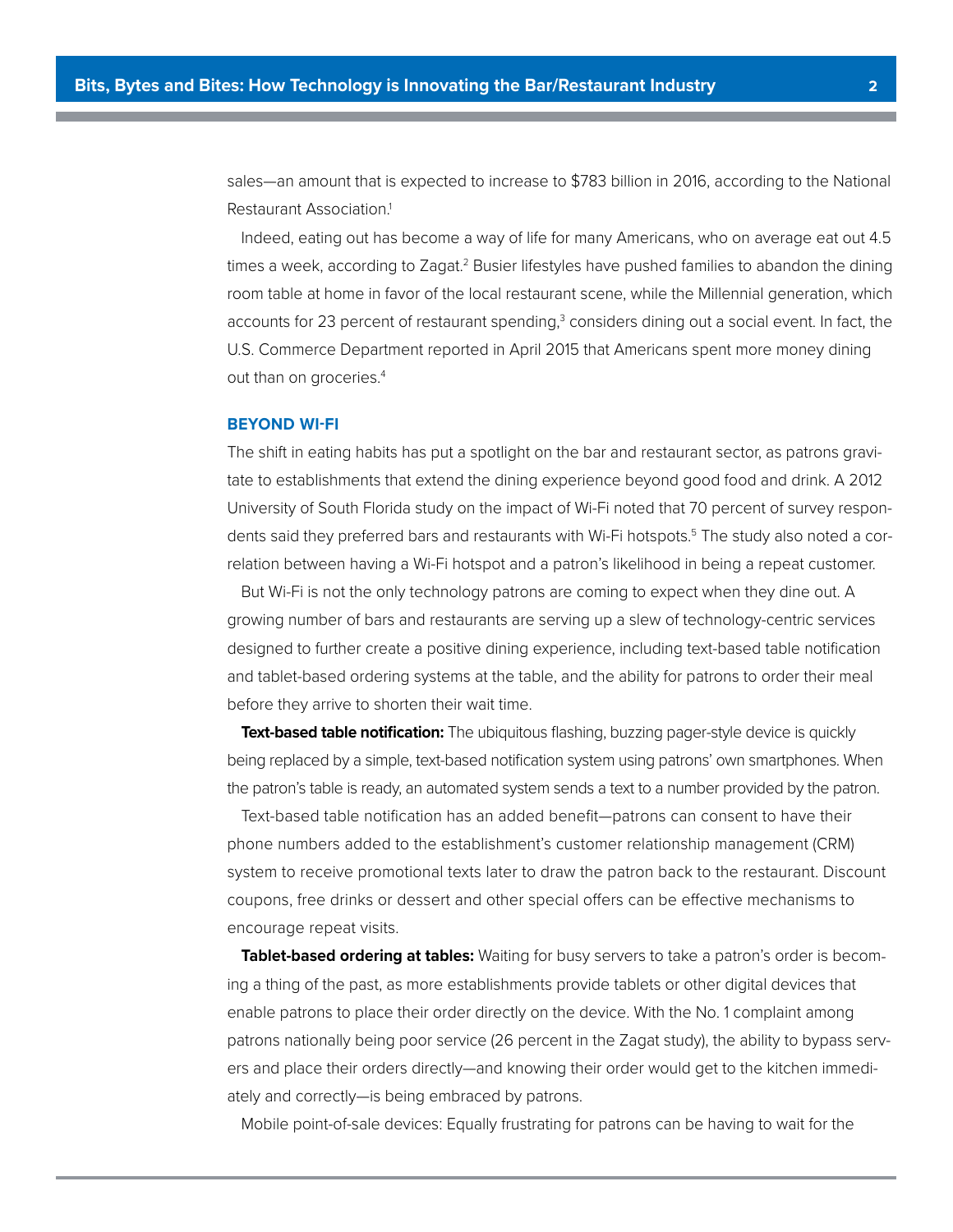sales—an amount that is expected to increase to \$783 billion in 2016, according to the National Restaurant Association.<sup>1</sup>

Indeed, eating out has become a way of life for many Americans, who on average eat out 4.5 times a week, according to Zagat.<sup>2</sup> Busier lifestyles have pushed families to abandon the dining room table at home in favor of the local restaurant scene, while the Millennial generation, which accounts for 23 percent of restaurant spending,<sup>3</sup> considers dining out a social event. In fact, the U.S. Commerce Department reported in April 2015 that Americans spent more money dining out than on groceries.<sup>4</sup>

#### **BEYOND WI-FI**

The shift in eating habits has put a spotlight on the bar and restaurant sector, as patrons gravitate to establishments that extend the dining experience beyond good food and drink. A 2012 University of South Florida study on the impact of Wi-Fi noted that 70 percent of survey respondents said they preferred bars and restaurants with Wi-Fi hotspots.<sup>5</sup> The study also noted a correlation between having a Wi-Fi hotspot and a patron's likelihood in being a repeat customer.

But Wi-Fi is not the only technology patrons are coming to expect when they dine out. A growing number of bars and restaurants are serving up a slew of technology-centric services designed to further create a positive dining experience, including text-based table notification and tablet-based ordering systems at the table, and the ability for patrons to order their meal before they arrive to shorten their wait time.

**Text-based table notification:** The ubiquitous flashing, buzzing pager-style device is quickly being replaced by a simple, text-based notification system using patrons' own smartphones. When the patron's table is ready, an automated system sends a text to a number provided by the patron.

Text-based table notification has an added benefit—patrons can consent to have their phone numbers added to the establishment's customer relationship management (CRM) system to receive promotional texts later to draw the patron back to the restaurant. Discount coupons, free drinks or dessert and other special ofers can be efective mechanisms to encourage repeat visits.

**Tablet-based ordering at tables:** Waiting for busy servers to take a patron's order is becoming a thing of the past, as more establishments provide tablets or other digital devices that enable patrons to place their order directly on the device. With the No. 1 complaint among patrons nationally being poor service (26 percent in the Zagat study), the ability to bypass servers and place their orders directly—and knowing their order would get to the kitchen immediately and correctly—is being embraced by patrons.

Mobile point-of-sale devices: Equally frustrating for patrons can be having to wait for the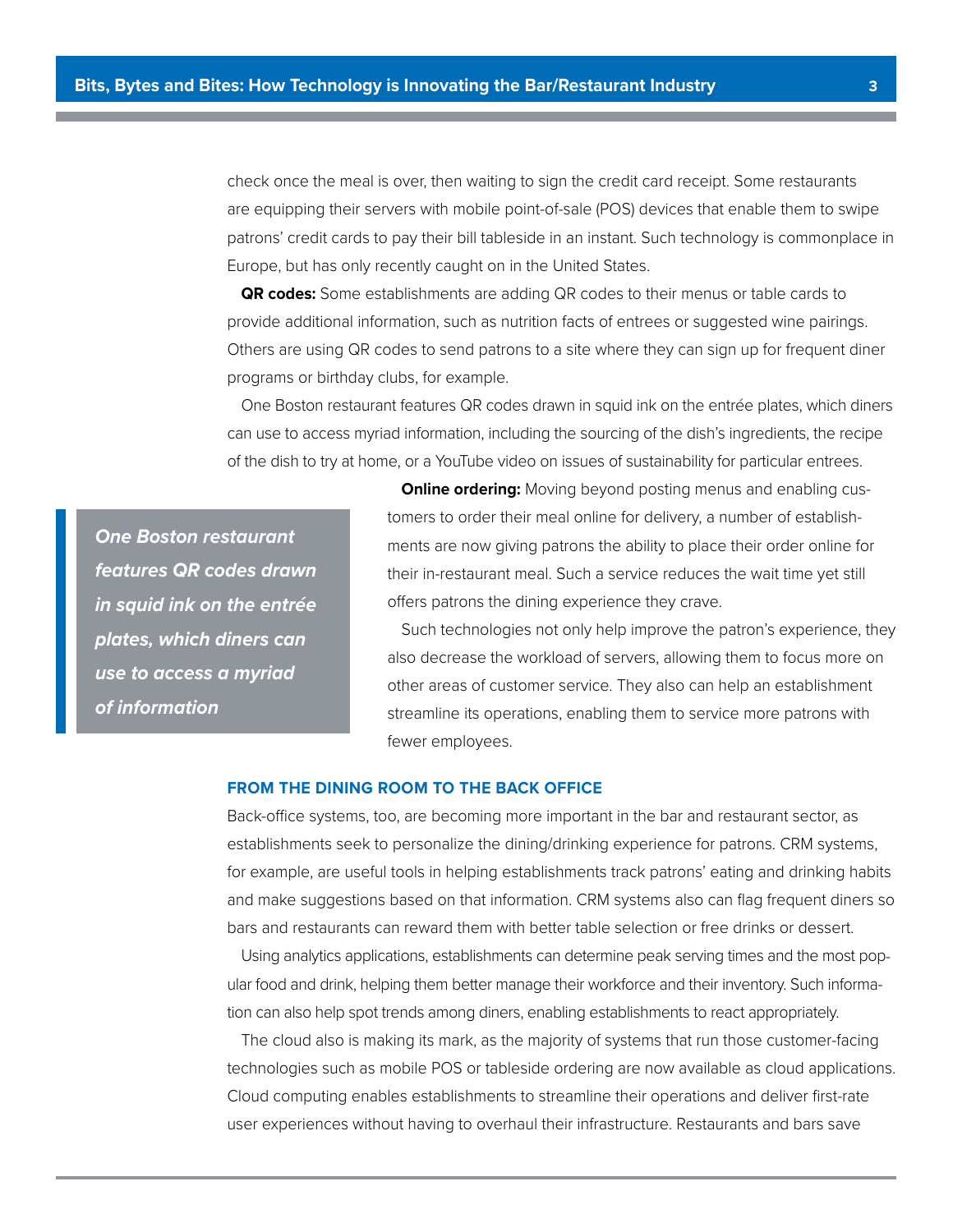check once the meal is over, then waiting to sign the credit card receipt. Some restaurants are equipping their servers with mobile point-of-sale (POS) devices that enable them to swipe patrons' credit cards to pay their bill tableside in an instant. Such technology is commonplace in Europe, but has only recently caught on in the United States.

**QR codes:** Some establishments are adding QR codes to their menus or table cards to provide additional information, such as nutrition facts of entrees or suggested wine pairings. Others are using QR codes to send patrons to a site where they can sign up for frequent diner programs or birthday clubs, for example.

One Boston restaurant features QR codes drawn in squid ink on the entrée plates, which diners can use to access myriad information, including the sourcing of the dish's ingredients, the recipe of the dish to try at home, or a YouTube video on issues of sustainability for particular entrees.

**One Boston restaurant features QR codes drawn in squid ink on the entrée plates, which diners can use to access a myriad of information**

**Online ordering:** Moving beyond posting menus and enabling customers to order their meal online for delivery, a number of establishments are now giving patrons the ability to place their order online for their in-restaurant meal. Such a service reduces the wait time yet still ofers patrons the dining experience they crave.

Such technologies not only help improve the patron's experience, they also decrease the workload of servers, allowing them to focus more on other areas of customer service. They also can help an establishment streamline its operations, enabling them to service more patrons with fewer employees.

## **FROM THE DINING ROOM TO THE BACK OFFICE**

Back-office systems, too, are becoming more important in the bar and restaurant sector, as establishments seek to personalize the dining/drinking experience for patrons. CRM systems, for example, are useful tools in helping establishments track patrons' eating and drinking habits and make suggestions based on that information. CRM systems also can flag frequent diners so bars and restaurants can reward them with better table selection or free drinks or dessert.

Using analytics applications, establishments can determine peak serving times and the most popular food and drink, helping them better manage their workforce and their inventory. Such information can also help spot trends among diners, enabling establishments to react appropriately.

The cloud also is making its mark, as the majority of systems that run those customer-facing technologies such as mobile POS or tableside ordering are now available as cloud applications. Cloud computing enables establishments to streamline their operations and deliver first-rate user experiences without having to overhaul their infrastructure. Restaurants and bars save